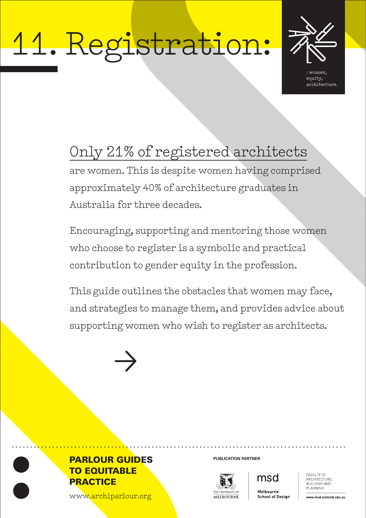# 11. Registration:



equity, architecture.

# Only 21% of registered architects

are women. This is despite women having comprised approximately 40% of architecture graduates in Australia for three decades.

Encouraging, supporting and mentoring those women who choose to register is a symbolic and practical contribution to gender equity in the profession.

This guide outlines the obstacles that women may face, and strategies to manage them, and provides advice about supporting women who wish to register as architects.







msd

**FACULTY OF** ARCHITECTURE BUILDING AND PLANNING

www.archiparlour.org

Melhourne **School of Design** 

www.msd.unimelb.edu.au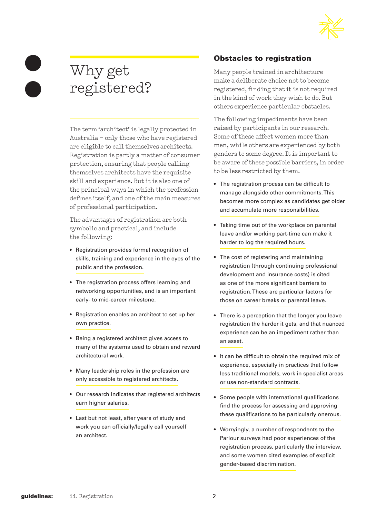

## Why get registered?

The term 'architect' is legally protected in Australia – only those who have registered are eligible to call themselves architects. Registration is partly a matter of consumer protection, ensuring that people calling themselves architects have the requisite skill and experience. But it is also one of the principal ways in which the profession defines itself, and one of the main measures of professional participation.

The advantages of registration are both symbolic and practical, and include the following:

- Registration provides formal recognition of skills, training and experience in the eyes of the public and the profession.
- The registration process offers learning and networking opportunities, and is an important early- to mid-career milestone.
- Registration enables an architect to set up her own practice.
- Being a registered architect gives access to many of the systems used to obtain and reward architectural work.
- Many leadership roles in the profession are only accessible to registered architects.
- Our research indicates that registered architects earn higher salaries.
- Last but not least, after years of study and work you can officially/legally call yourself an architect.

#### Obstacles to registration

Many people trained in architecture make a deliberate choice not to become registered, finding that it is not required in the kind of work they wish to do. But others experience particular obstacles.

The following impediments have been raised by participants in our research. Some of these affect women more than men, while others are experienced by both genders to some degree. It is important to be aware of these possible barriers, in order to be less restricted by them.

- The registration process can be difficult to manage alongside other commitments. This becomes more complex as candidates get older and accumulate more responsibilities.
- Taking time out of the workplace on parental leave and/or working part-time can make it harder to log the required hours.
- The cost of registering and maintaining registration (through continuing professional development and insurance costs) is cited as one of the more significant barriers to registration. These are particular factors for those on career breaks or parental leave.
- There is a perception that the longer you leave registration the harder it gets, and that nuanced experience can be an impediment rather than an asset.
- It can be difficult to obtain the required mix of experience, especially in practices that follow less traditional models, work in specialist areas or use non-standard contracts.
- Some people with international qualifications find the process for assessing and approving these qualifications to be particularly onerous.
- Worryingly, a number of respondents to the Parlour surveys had poor experiences of the registration process, particularly the interview, and some women cited examples of explicit gender-based discrimination.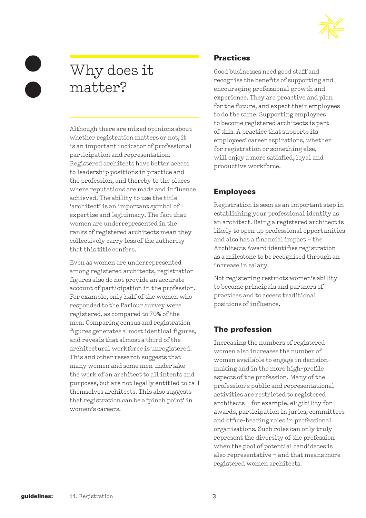

# Why does it matter?

Although there are mixed opinions about whether registration matters or not, it is an important indicator of professional participation and representation. Registered architects have better access to leadership positions in practice and the profession, and thereby to the places where reputations are made and influence achieved. The ability to use the title 'architect' is an important symbol of expertise and legitimacy. The fact that women are underrepresented in the ranks of registered architects mean they collectively carry less of the authority that this title confers.

Even as women are underrepresented among registered architects, registration figures also do not provide an accurate account of participation in the profession. For example, only half of the women who responded to the Parlour survey were registered, as compared to 70% of the men. Comparing census and registration figures generates almost identical figures, and reveals that almost a third of the architectural workforce is unregistered. This and other research suggests that many women and some men undertake the work of an architect to all intents and purposes, but are not legally entitled to call themselves architects. This also suggests that registration can be a 'pinch point' in women's careers.

#### **Practices**

Good businesses need good staff and recognise the benefits of supporting and encouraging professional growth and experience. They are proactive and plan for the future, and expect their employees to do the same. Supporting employees to become registered architects is part of this. A practice that supports its employees' career aspirations, whether for registration or something else, will enjoy a more satisfied, loyal and productive workforce.

#### Employees

Registration is seen as an important step in establishing your professional identity as an architect. Being a registered architect is likely to open up professional opportunities and also has a financial impact – the Architects Award identifies registration as a milestone to be recognised through an increase in salary.

Not registering restricts women's ability to become principals and partners of practices and to access traditional positions of influence.

#### The profession

Increasing the numbers of registered women also increases the number of women available to engage in decisionmaking and in the more high-profile aspects of the profession. Many of the profession's public and representational activities are restricted to registered architects – for example, eligibility for awards, participation in juries, committees and office-bearing roles in professional organisations. Such roles can only truly represent the diversity of the profession when the pool of potential candidates is also representative – and that means more registered women architects.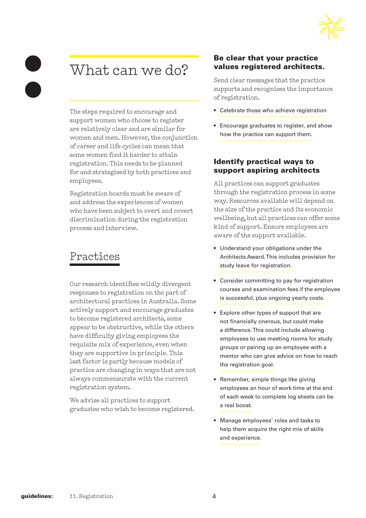

### What can we do?

The steps required to encourage and support women who choose to register are relatively clear and are similar for women and men. However, the conjunction of career and life cycles can mean that some women find it harder to attain registration. This needs to be planned for and strategised by both practices and employees.

Registration boards must be aware of and address the experiences of women who have been subject to overt and covert discrimination during the registration process and interview.

### Practices

Our research identifies wildly divergent responses to registration on the part of architectural practices in Australia. Some actively support and encourage graduates to become registered architects, some appear to be obstructive, while the others have difficulty giving employees the requisite mix of experience, even when they are supportive in principle. This last factor is partly because models of practice are changing in ways that are not always commensurate with the current registration system.

We advise all practices to support graduates who wish to become registered.

#### Be clear that your practice values registered architects.

Send clear messages that the practice supports and recognises the importance of registration.

- Celebrate those who achieve registration
- Encourage graduates to register, and show how the practice can support them.

#### Identify practical ways to support aspiring architects

All practices can support graduates through the registration process in some way. Resources available will depend on the size of the practice and its economic wellbeing, but all practices can offer some kind of support. Ensure employees are aware of the support available.

- Understand your obligations under the Architects Award. This includes provision for study leave for registration.
- Consider committing to pay for registration courses and examination fees if the employee is successful, plus ongoing yearly costs.
- Explore other types of support that are not financially onerous, but could make a difference. This could include allowing employees to use meeting rooms for study groups or pairing up an employee with a mentor who can give advice on how to reach the registration goal.
- Remember, simple things like giving employees an hour of work time at the end of each week to complete log sheets can be a real boost.
- Manage employees' roles and tasks to help them acquire the right mix of skills and experience.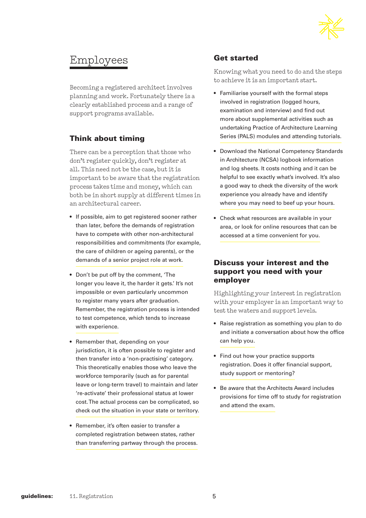

### Employees

Becoming a registered architect involves planning and work. Fortunately there is a clearly established process and a range of support programs available.

#### Think about timing

There can be a perception that those who don't register quickly, don't register at all. This need not be the case, but it is important to be aware that the registration process takes time and money, which can both be in short supply at different times in an architectural career.

- If possible, aim to get registered sooner rather than later, before the demands of registration have to compete with other non-architectural responsibilities and commitments (for example, the care of children or ageing parents), or the demands of a senior project role at work.
- Don't be put off by the comment, 'The longer you leave it, the harder it gets.' It's not impossible or even particularly uncommon to register many years after graduation. Remember, the registration process is intended to test competence, which tends to increase with experience.
- Remember that, depending on your jurisdiction, it is often possible to register and then transfer into a 'non-practising' category. This theoretically enables those who leave the workforce temporarily (such as for parental leave or long-term travel) to maintain and later 're-activate' their professional status at lower cost. The actual process can be complicated, so check out the situation in your state or territory.
- Remember, it's often easier to transfer a completed registration between states, rather than transferring partway through the process.

#### Get started

Knowing what you need to do and the steps to achieve it is an important start.

- Familiarise yourself with the formal steps involved in registration (logged hours, examination and interview) and find out more about supplemental activities such as undertaking Practice of Architecture Learning Series (PALS) modules and attending tutorials.
- Download the National Competency Standards in Architecture (NCSA) logbook information and log sheets. It costs nothing and it can be helpful to see exactly what's involved. It's also a good way to check the diversity of the work experience you already have and identify where you may need to beef up your hours.
- Check what resources are available in your area, or look for online resources that can be accessed at a time convenient for you.

#### Discuss your interest and the support you need with your employer

Highlighting your interest in registration with your employer is an important way to test the waters and support levels.

- Raise registration as something you plan to do and initiate a conversation about how the office can help you.
- Find out how your practice supports registration. Does it offer financial support, study support or mentoring?
- Be aware that the Architects Award includes provisions for time off to study for registration and attend the exam.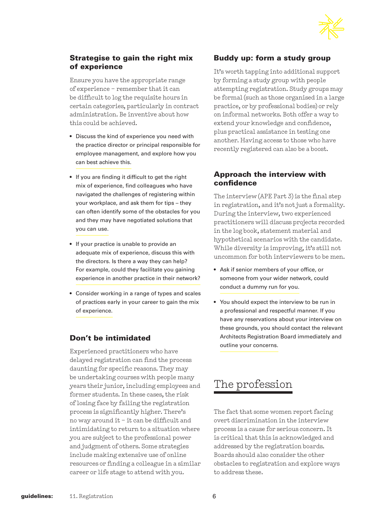

#### Strategise to gain the right mix of experience

Ensure you have the appropriate range of experience – remember that it can be difficult to log the requisite hours in certain categories, particularly in contract administration. Be inventive about how this could be achieved.

- Discuss the kind of experience you need with the practice director or principal responsible for employee management, and explore how you can best achieve this.
- If you are finding it difficult to get the right mix of experience, find colleagues who have navigated the challenges of registering within your workplace, and ask them for tips – they can often identify some of the obstacles for you and they may have negotiated solutions that you can use.
- If your practice is unable to provide an adequate mix of experience, discuss this with the directors. Is there a way they can help? For example, could they facilitate you gaining experience in another practice in their network?
- Consider working in a range of types and scales of practices early in your career to gain the mix of experience.

#### Don't be intimidated

Experienced practitioners who have delayed registration can find the process daunting for specific reasons. They may be undertaking courses with people many years their junior, including employees and former students. In these cases, the risk of losing face by failing the registration process is significantly higher. There's no way around it – it can be difficult and intimidating to return to a situation where you are subject to the professional power and judgment of others. Some strategies include making extensive use of online resources or finding a colleague in a similar career or life stage to attend with you.

#### Buddy up: form a study group

It's worth tapping into additional support by forming a study group with people attempting registration. Study groups may be formal (such as those organised in a large practice, or by professional bodies) or rely on informal networks. Both offer a way to extend your knowledge and confidence, plus practical assistance in testing one another. Having access to those who have recently registered can also be a boost.

#### Approach the interview with confidence

The interview (APE Part 3) is the final step in registration, and it's not just a formality. During the interview, two experienced practitioners will discuss projects recorded in the log book, statement material and hypothetical scenarios with the candidate. While diversity is improving, it's still not uncommon for both interviewers to be men.

- Ask if senior members of your office, or someone from your wider network, could conduct a dummy run for you.
- You should expect the interview to be run in a professional and respectful manner. If you have any reservations about your interview on these grounds, you should contact the relevant Architects Registration Board immediately and outline your concerns.

### The profession

The fact that some women report facing overt discrimination in the interview process is a cause for serious concern. It is critical that this is acknowledged and addressed by the registration boards. Boards should also consider the other obstacles to registration and explore ways to address these.